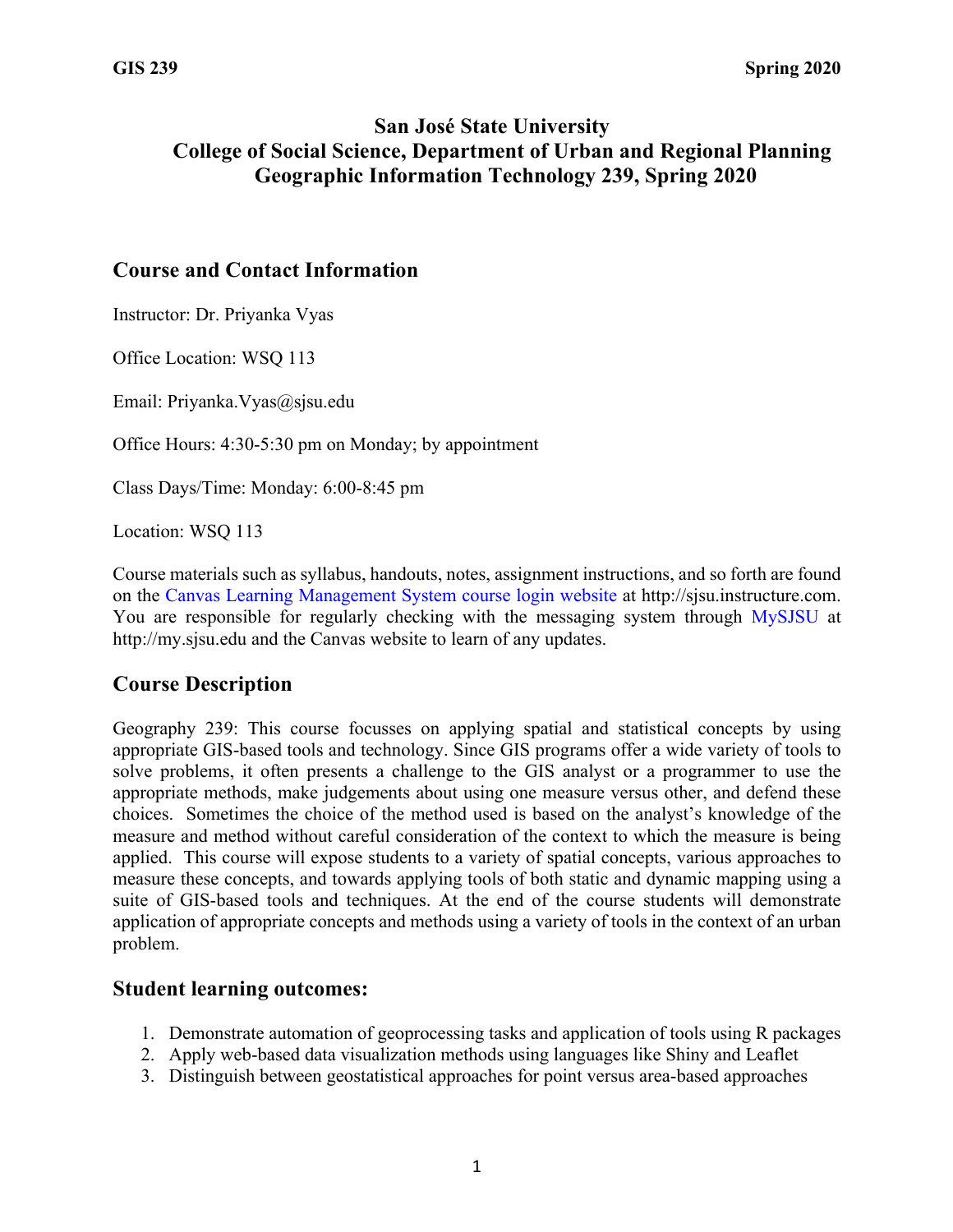## **San José State University College of Social Science, Department of Urban and Regional Planning Geographic Information Technology 239, Spring 2020**

#### **Course and Contact Information**

Instructor: Dr. Priyanka Vyas

Office Location: WSQ 113

Email: Priyanka.Vyas@sjsu.edu

Office Hours: 4:30-5:30 pm on Monday; by appointment

Class Days/Time: Monday: 6:00-8:45 pm

Location: WSQ 113

Course materials such as syllabus, handouts, notes, assignment instructions, and so forth are found on the Canvas Learning Management System course login website at http://sjsu.instructure.com. You are responsible for regularly checking with the messaging system through MySJSU at http://my.sjsu.edu and the Canvas website to learn of any updates.

#### **Course Description**

Geography 239: This course focusses on applying spatial and statistical concepts by using appropriate GIS-based tools and technology. Since GIS programs offer a wide variety of tools to solve problems, it often presents a challenge to the GIS analyst or a programmer to use the appropriate methods, make judgements about using one measure versus other, and defend these choices. Sometimes the choice of the method used is based on the analyst's knowledge of the measure and method without careful consideration of the context to which the measure is being applied. This course will expose students to a variety of spatial concepts, various approaches to measure these concepts, and towards applying tools of both static and dynamic mapping using a suite of GIS-based tools and techniques. At the end of the course students will demonstrate application of appropriate concepts and methods using a variety of tools in the context of an urban problem.

#### **Student learning outcomes:**

- 1. Demonstrate automation of geoprocessing tasks and application of tools using R packages
- 2. Apply web-based data visualization methods using languages like Shiny and Leaflet
- 3. Distinguish between geostatistical approaches for point versus area-based approaches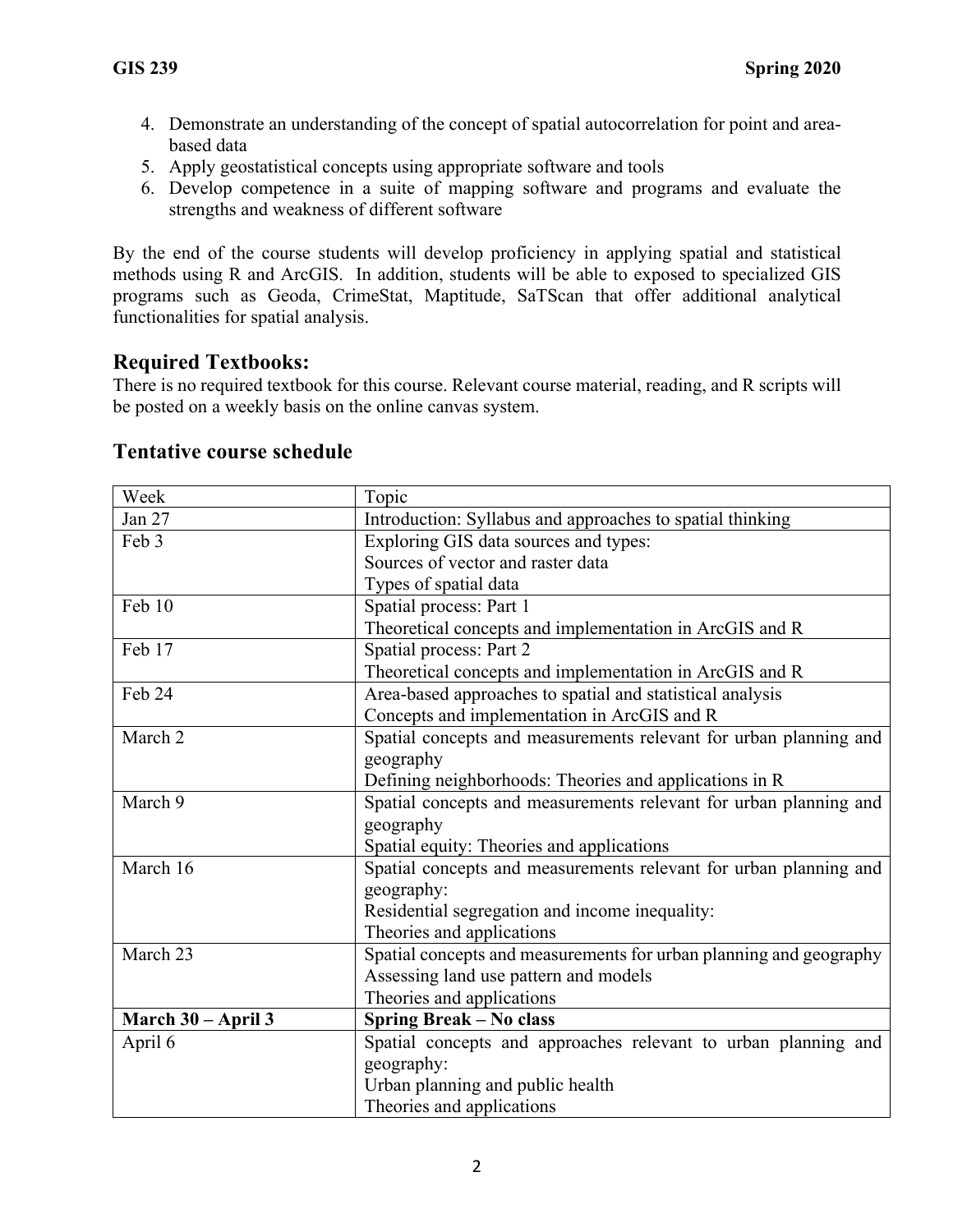- 4. Demonstrate an understanding of the concept of spatial autocorrelation for point and areabased data
- 5. Apply geostatistical concepts using appropriate software and tools
- 6. Develop competence in a suite of mapping software and programs and evaluate the strengths and weakness of different software

By the end of the course students will develop proficiency in applying spatial and statistical methods using R and ArcGIS. In addition, students will be able to exposed to specialized GIS programs such as Geoda, CrimeStat, Maptitude, SaTScan that offer additional analytical functionalities for spatial analysis.

## **Required Textbooks:**

There is no required textbook for this course. Relevant course material, reading, and R scripts will be posted on a weekly basis on the online canvas system.

| Week               | Topic                                                              |
|--------------------|--------------------------------------------------------------------|
| Jan 27             | Introduction: Syllabus and approaches to spatial thinking          |
| Feb 3              | Exploring GIS data sources and types:                              |
|                    | Sources of vector and raster data                                  |
|                    | Types of spatial data                                              |
| Feb 10             | Spatial process: Part 1                                            |
|                    | Theoretical concepts and implementation in ArcGIS and R            |
| Feb 17             | Spatial process: Part 2                                            |
|                    | Theoretical concepts and implementation in ArcGIS and R            |
| Feb 24             | Area-based approaches to spatial and statistical analysis          |
|                    | Concepts and implementation in ArcGIS and R                        |
| March 2            | Spatial concepts and measurements relevant for urban planning and  |
|                    | geography                                                          |
|                    | Defining neighborhoods: Theories and applications in R             |
| March 9            | Spatial concepts and measurements relevant for urban planning and  |
|                    | geography                                                          |
|                    | Spatial equity: Theories and applications                          |
| March 16           | Spatial concepts and measurements relevant for urban planning and  |
|                    | geography:                                                         |
|                    | Residential segregation and income inequality:                     |
|                    | Theories and applications                                          |
| March 23           | Spatial concepts and measurements for urban planning and geography |
|                    | Assessing land use pattern and models                              |
|                    | Theories and applications                                          |
| March 30 – April 3 | Spring Break - No class                                            |
| April 6            | Spatial concepts and approaches relevant to urban planning and     |
|                    | geography:                                                         |
|                    | Urban planning and public health                                   |
|                    | Theories and applications                                          |

#### **Tentative course schedule**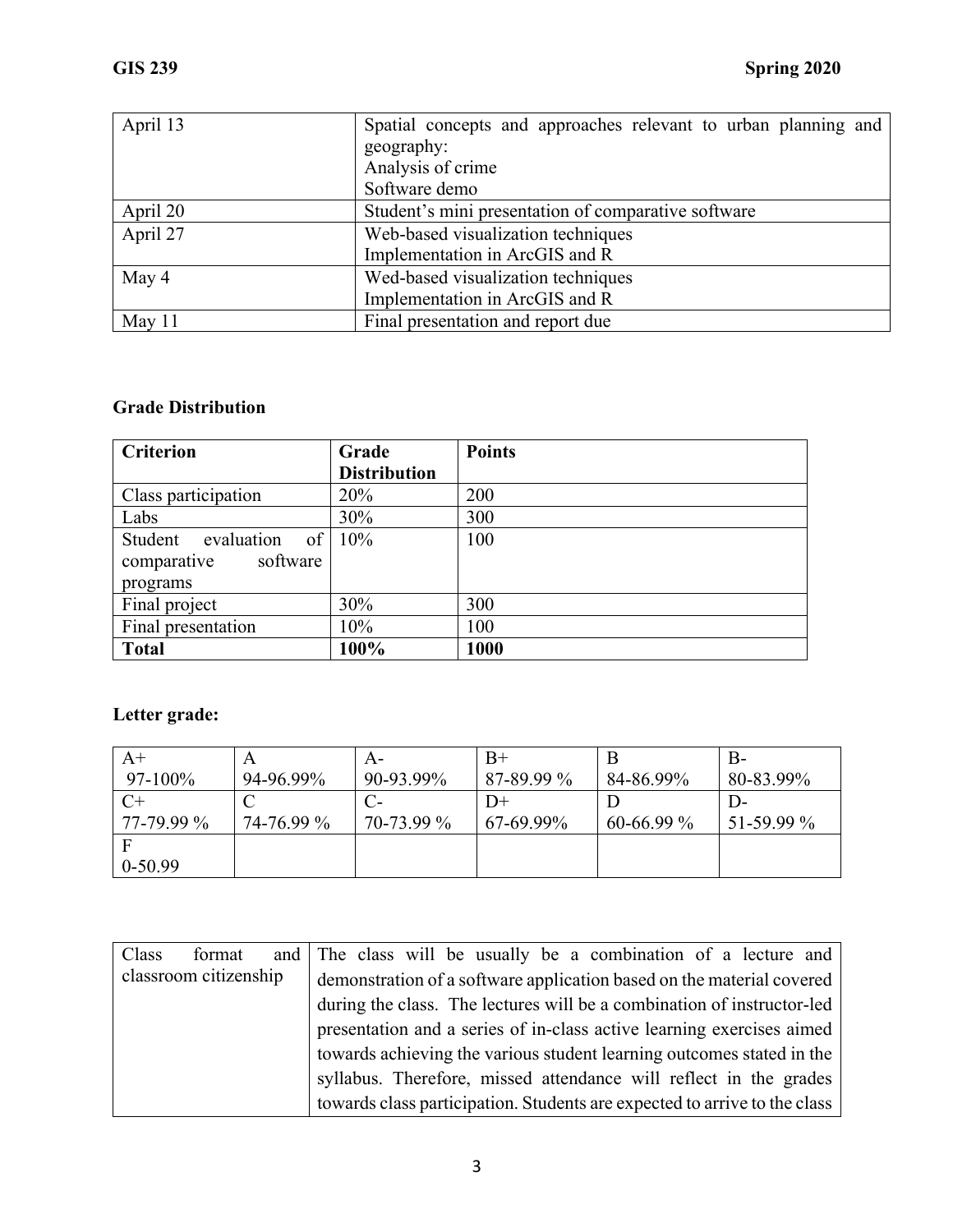| April 13 | Spatial concepts and approaches relevant to urban planning and |
|----------|----------------------------------------------------------------|
|          | geography:                                                     |
|          | Analysis of crime                                              |
|          | Software demo                                                  |
| April 20 | Student's mini presentation of comparative software            |
| April 27 | Web-based visualization techniques                             |
|          | Implementation in ArcGIS and R                                 |
| May 4    | Wed-based visualization techniques                             |
|          | Implementation in ArcGIS and R                                 |
| May $11$ | Final presentation and report due                              |

### **Grade Distribution**

| <b>Criterion</b>                | Grade               | <b>Points</b> |
|---------------------------------|---------------------|---------------|
|                                 | <b>Distribution</b> |               |
| Class participation             | 20%                 | 200           |
| Labs                            | 30%                 | 300           |
| Student evaluation<br>$of \mid$ | 10%                 | 100           |
| software<br>comparative         |                     |               |
| programs                        |                     |               |
| Final project                   | 30%                 | 300           |
| Final presentation              | 10%                 | 100           |
| <b>Total</b>                    | 100%                | <b>1000</b>   |

# **Letter grade:**

| $A+$         | Α          | A-         | $B+$       |              | В-           |
|--------------|------------|------------|------------|--------------|--------------|
| $97 - 100\%$ | 94-96.99%  | 90-93.99%  | 87-89.99 % | 84-86.99%    | 80-83.99%    |
| $C+$         |            |            | $D+$       |              | $D-$         |
| 77-79.99 %   | 74-76.99 % | 70-73.99 % | 67-69.99%  | $60-66.99\%$ | $51-59.99\%$ |
| E            |            |            |            |              |              |
| $0-50.99$    |            |            |            |              |              |

| Class | format                | and The class will be usually be a combination of a lecture and           |  |
|-------|-----------------------|---------------------------------------------------------------------------|--|
|       | classroom citizenship | demonstration of a software application based on the material covered     |  |
|       |                       | during the class. The lectures will be a combination of instructor-led    |  |
|       |                       | presentation and a series of in-class active learning exercises aimed     |  |
|       |                       | towards achieving the various student learning outcomes stated in the     |  |
|       |                       | syllabus. Therefore, missed attendance will reflect in the grades         |  |
|       |                       | towards class participation. Students are expected to arrive to the class |  |